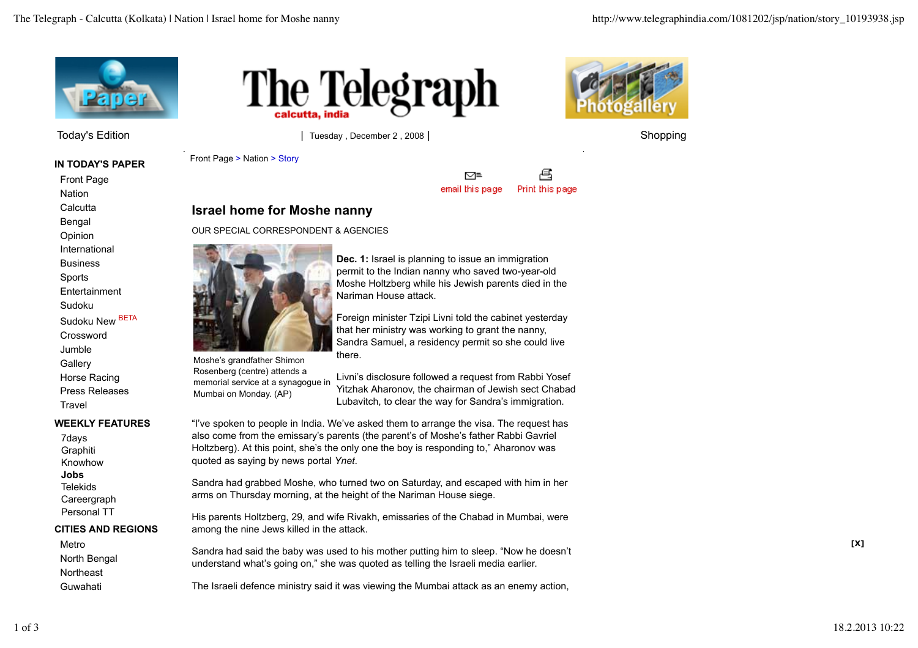

Today's Edition **The Community Community Community** of Tuesday , December 2 , 2008 | Shopping Shopping

**IN TODAY'S PAPER**

Front Page **Nation** 

**Calcutta** Bengal

Opinion

International

**Business** 

Sports

**Entertainment** 

Sudoku

Sudoku New BETA

Crossword Jumble **Gallery** 

Horse Racing Press Releases

**Travel** 

## **WEEKLY FEATURES**

7days **Graphiti** Knowhow **Jobs Telekids Careergraph** Personal TT

### **CITIES AND REGIONS**

Metro North Bengal **Northeast** Guwahati





Front Page > Nation > Story



# **Israel home for Moshe nanny**

OUR SPECIAL CORRESPONDENT & AGENCIES



Moshe's grandfather Shimon Rosenberg (centre) attends a

Mumbai on Monday. (AP)

**Dec. 1:** Israel is planning to issue an immigration permit to the Indian nanny who saved two-year-old Moshe Holtzberg while his Jewish parents died in the Nariman House attack.

Foreign minister Tzipi Livni told the cabinet yesterday that her ministry was working to grant the nanny, Sandra Samuel, a residency permit so she could live there.

memorial service at a synagogue in Livni's disclosure followed a request from Rabbi Yosef Yitzhak Aharonov, the chairman of Jewish sect Chabad Lubavitch, to clear the way for Sandra's immigration.

"I've spoken to people in India. We've asked them to arrange the visa. The request has also come from the emissary's parents (the parent's of Moshe's father Rabbi Gavriel Holtzberg). At this point, she's the only one the boy is responding to," Aharonov was quoted as saying by news portal *Ynet*.

Sandra had grabbed Moshe, who turned two on Saturday, and escaped with him in her arms on Thursday morning, at the height of the Nariman House siege.

His parents Holtzberg, 29, and wife Rivakh, emissaries of the Chabad in Mumbai, were among the nine Jews killed in the attack.

Sandra had said the baby was used to his mother putting him to sleep. "Now he doesn't understand what's going on," she was quoted as telling the Israeli media earlier.

The Israeli defence ministry said it was viewing the Mumbai attack as an enemy action,

**[X]**